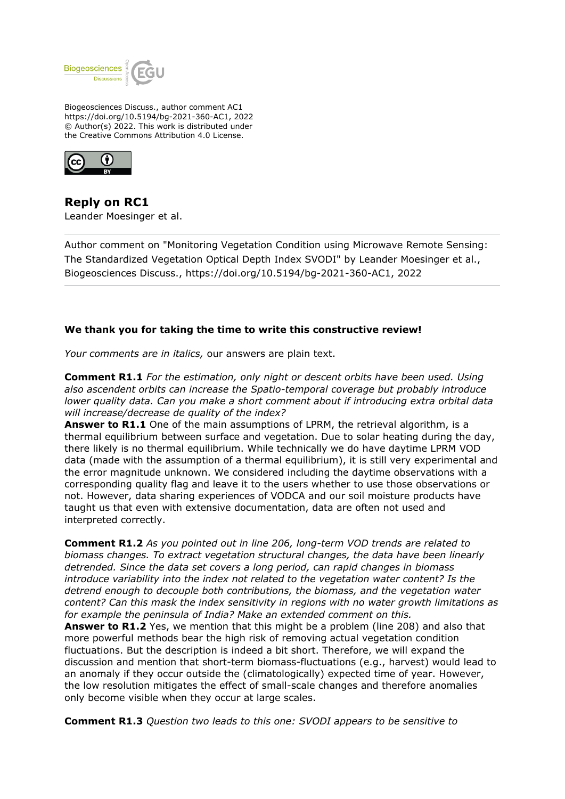

Biogeosciences Discuss., author comment AC1 https://doi.org/10.5194/bg-2021-360-AC1, 2022 © Author(s) 2022. This work is distributed under the Creative Commons Attribution 4.0 License.



**Reply on RC1** Leander Moesinger et al.

Author comment on "Monitoring Vegetation Condition using Microwave Remote Sensing: The Standardized Vegetation Optical Depth Index SVODI" by Leander Moesinger et al., Biogeosciences Discuss., https://doi.org/10.5194/bg-2021-360-AC1, 2022

## **We thank you for taking the time to write this constructive review!**

*Your comments are in italics,* our answers are plain text.

**Comment R1.1** *For the estimation, only night or descent orbits have been used. Using also ascendent orbits can increase the Spatio-temporal coverage but probably introduce lower quality data. Can you make a short comment about if introducing extra orbital data will increase/decrease de quality of the index?*

**Answer to R1.1** One of the main assumptions of LPRM, the retrieval algorithm, is a thermal equilibrium between surface and vegetation. Due to solar heating during the day, there likely is no thermal equilibrium. While technically we do have daytime LPRM VOD data (made with the assumption of a thermal equilibrium), it is still very experimental and the error magnitude unknown. We considered including the daytime observations with a corresponding quality flag and leave it to the users whether to use those observations or not. However, data sharing experiences of VODCA and our soil moisture products have taught us that even with extensive documentation, data are often not used and interpreted correctly.

**Comment R1.2** *As you pointed out in line 206, long-term VOD trends are related to biomass changes. To extract vegetation structural changes, the data have been linearly detrended. Since the data set covers a long period, can rapid changes in biomass introduce variability into the index not related to the vegetation water content? Is the detrend enough to decouple both contributions, the biomass, and the vegetation water content? Can this mask the index sensitivity in regions with no water growth limitations as for example the peninsula of India? Make an extended comment on this.*

**Answer to R1.2** Yes, we mention that this might be a problem (line 208) and also that more powerful methods bear the high risk of removing actual vegetation condition fluctuations. But the description is indeed a bit short. Therefore, we will expand the discussion and mention that short-term biomass-fluctuations (e.g., harvest) would lead to an anomaly if they occur outside the (climatologically) expected time of year. However, the low resolution mitigates the effect of small-scale changes and therefore anomalies only become visible when they occur at large scales.

**Comment R1.3** *Question two leads to this one: SVODI appears to be sensitive to*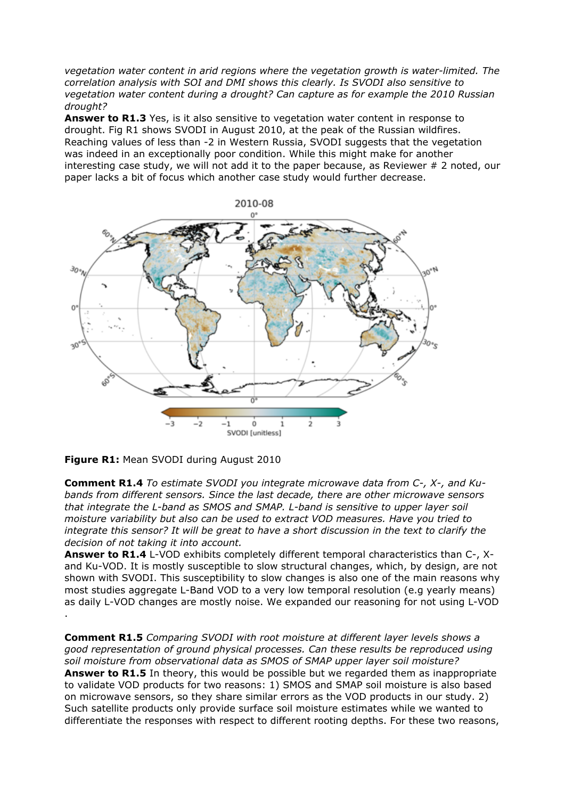*vegetation water content in arid regions where the vegetation growth is water-limited. The correlation analysis with SOI and DMI shows this clearly. Is SVODI also sensitive to vegetation water content during a drought? Can capture as for example the 2010 Russian drought?*

Answer to R1.3 Yes, is it also sensitive to vegetation water content in response to drought. Fig R1 shows SVODI in August 2010, at the peak of the Russian wildfires. Reaching values of less than -2 in Western Russia, SVODI suggests that the vegetation was indeed in an exceptionally poor condition. While this might make for another interesting case study, we will not add it to the paper because, as Reviewer  $# 2$  noted, our paper lacks a bit of focus which another case study would further decrease.



**Figure R1:** Mean SVODI during August 2010

**Comment R1.4** *To estimate SVODI you integrate microwave data from C-, X-, and Kubands from different sensors. Since the last decade, there are other microwave sensors that integrate the L-band as SMOS and SMAP. L-band is sensitive to upper layer soil moisture variability but also can be used to extract VOD measures. Have you tried to integrate this sensor? It will be great to have a short discussion in the text to clarify the decision of not taking it into account.*

**Answer to R1.4** L-VOD exhibits completely different temporal characteristics than C-, Xand Ku-VOD. It is mostly susceptible to slow structural changes, which, by design, are not shown with SVODI. This susceptibility to slow changes is also one of the main reasons why most studies aggregate L-Band VOD to a very low temporal resolution (e.g yearly means) as daily L-VOD changes are mostly noise. We expanded our reasoning for not using L-VOD .

**Comment R1.5** *Comparing SVODI with root moisture at different layer levels shows a good representation of ground physical processes. Can these results be reproduced using soil moisture from observational data as SMOS of SMAP upper layer soil moisture?* **Answer to R1.5** In theory, this would be possible but we regarded them as inappropriate to validate VOD products for two reasons: 1) SMOS and SMAP soil moisture is also based on microwave sensors, so they share similar errors as the VOD products in our study. 2) Such satellite products only provide surface soil moisture estimates while we wanted to differentiate the responses with respect to different rooting depths. For these two reasons,